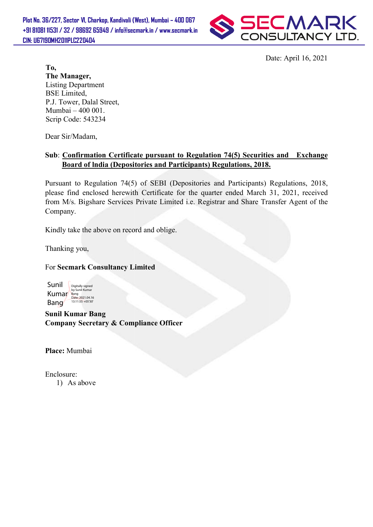Plot No. 36/227, Sector VI, Charkop, Kandivali (West), Mumbai – 400 067 +91 81081 11531 / 32 / 98692 65949 / info@secmark.in / www.secmark.in / www.secmark.inCIN: U67190MH2011PLC220404



Date: Date: April 16, 2021

To, The Manager, Listing Department BSE Limited, P.J. Tower, Dalal Street, Mumbai – 400 001. Scrip Code: 543234

Dear Sir/Madam,

## Sub: Confirmation Certificate pursuant to Regulation 74(5) Securities and Exchange Board of India (Depositories and Participants) Regulations, 2018.

Pursuant to Regulation 74(5) of SEBI (Depositories and Participants) Regulations, 2018, Pursuant to Regulation 74(5) of SEBI (Depositories and Participants) Regulations, 2018, please find enclosed herewith Certificate for the quarter ended March 31, 2021, received from M/s. Bigshare Services Private Limited i.e. Registrar and Share Transfer Agent of the Company.

Kindly take the above on record and oblige.

Thanking you,

For Secmark Consultancy Limited



Sunil Kumar Bang Company Secretary & Compliance Officer

Place: Mumbai

Enclosure: 1) As above